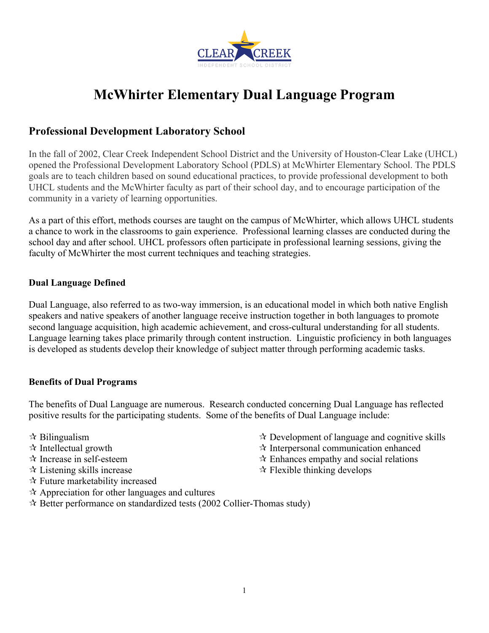

# **McWhirter Elementary Dual Language Program**

## **Professional Development Laboratory School**

In the fall of 2002, Clear Creek Independent School District and the University of Houston-Clear Lake (UHCL) opened the Professional Development Laboratory School (PDLS) at McWhirter Elementary School. The PDLS goals are to teach children based on sound educational practices, to provide professional development to both UHCL students and the McWhirter faculty as part of their school day, and to encourage participation of the community in a variety of learning opportunities.

As a part of this effort, methods courses are taught on the campus of McWhirter, which allows UHCL students a chance to work in the classrooms to gain experience. Professional learning classes are conducted during the school day and after school. UHCL professors often participate in professional learning sessions, giving the faculty of McWhirter the most current techniques and teaching strategies.

#### **Dual Language Defined**

Dual Language, also referred to as two-way immersion, is an educational model in which both native English speakers and native speakers of another language receive instruction together in both languages to promote second language acquisition, high academic achievement, and cross-cultural understanding for all students. Language learning takes place primarily through content instruction. Linguistic proficiency in both languages is developed as students develop their knowledge of subject matter through performing academic tasks.

#### **Benefits of Dual Programs**

The benefits of Dual Language are numerous. Research conducted concerning Dual Language has reflected positive results for the participating students. Some of the benefits of Dual Language include:

- 
- 
- 
- 
- $\mathbf{\hat{x}}$  Future marketability increased
- $\mathcal{R}$  Appreciation for other languages and cultures
- Better performance on standardized tests (2002 Collier-Thomas study)
- $\star$  Bilingualism  $\star$  Development of language and cognitive skills
- $\star$  Intellectual growth  $\star$  Interpersonal communication enhanced
- $\hat{x}$  Increase in self-esteem  $\hat{x}$  Enhances empathy and social relations
- $\star$  Listening skills increase  $\star$  Flexible thinking develops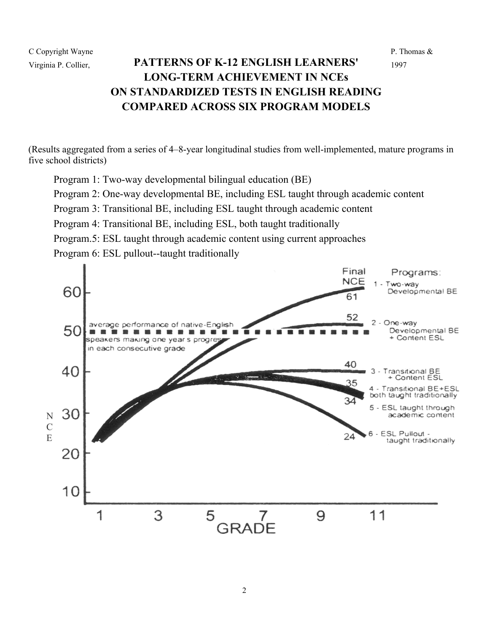C Copyright Wayne P. Thomas &

## Virginia P. Collier, **PATTERNS OF K-12 ENGLISH LEARNERS'** <sup>1997</sup> **LONG-TERM ACHIEVEMENT IN NCEs ON STANDARDIZED TESTS IN ENGLISH READING COMPARED ACROSS SIX PROGRAM MODELS**

(Results aggregated from a series of 4–8-year longitudinal studies from well-implemented, mature programs in five school districts)

Program 1: Two-way developmental bilingual education (BE)

Program 2: One-way developmental BE, including ESL taught through academic content

Program 3: Transitional BE, including ESL taught through academic content

Program 4: Transitional BE, including ESL, both taught traditionally

Program.5: ESL taught through academic content using current approaches

Program 6: ESL pullout--taught traditionally

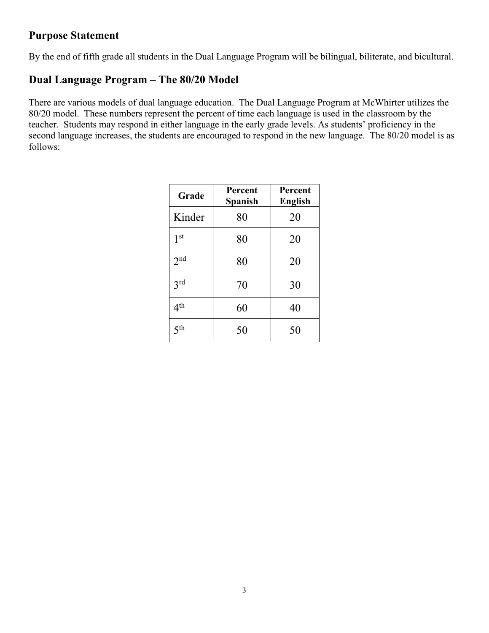## **Purpose Statement**

By the end of fifth grade all students in the Dual Language Program will be bilingual, biliterate, and bicultural.

## **Dual Language Program – The 80/20 Model**

There are various models of dual language education. The Dual Language Program at McWhirter utilizes the 80/20 model. These numbers represent the percent of time each language is used in the classroom by the teacher. Students may respond in either language in the early grade levels. As students' proficiency in the second language increases, the students are encouraged to respond in the new language. The 80/20 model is as follows:

| Grade           | Percent<br>Spanish | Percent<br><b>English</b> |
|-----------------|--------------------|---------------------------|
| Kinder          | 80                 | 20                        |
| 1 <sup>st</sup> | 80                 | 20                        |
| 2 <sup>nd</sup> | 80                 | 20                        |
| 3 <sup>rd</sup> | 70                 | 30                        |
| 4 <sup>th</sup> | 60                 | 40                        |
| ςth             | 50                 | 50                        |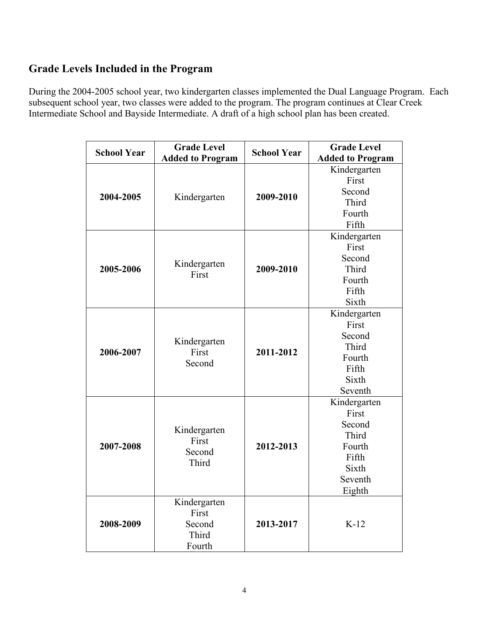## **Grade Levels Included in the Program**

During the 2004-2005 school year, two kindergarten classes implemented the Dual Language Program. Each subsequent school year, two classes were added to the program. The program continues at Clear Creek Intermediate School and Bayside Intermediate. A draft of a high school plan has been created.

| <b>School Year</b> | <b>Grade Level</b>                       | <b>School Year</b> | <b>Grade Level</b>      |
|--------------------|------------------------------------------|--------------------|-------------------------|
|                    | <b>Added to Program</b>                  |                    | <b>Added to Program</b> |
| 2004-2005          | Kindergarten                             | 2009-2010          | Kindergarten            |
|                    |                                          |                    | First                   |
|                    |                                          |                    | Second                  |
|                    |                                          |                    | Third                   |
|                    |                                          |                    | Fourth                  |
|                    |                                          |                    | Fifth                   |
| 2005-2006          | Kindergarten<br>First                    | 2009-2010          | Kindergarten            |
|                    |                                          |                    | First                   |
|                    |                                          |                    | Second                  |
|                    |                                          |                    | Third                   |
|                    |                                          |                    | Fourth                  |
|                    |                                          |                    | Fifth                   |
|                    |                                          |                    | Sixth                   |
| 2006-2007          | Kindergarten<br>First<br>Second          | 2011-2012          | Kindergarten            |
|                    |                                          |                    | First                   |
|                    |                                          |                    | Second                  |
|                    |                                          |                    | Third                   |
|                    |                                          |                    | Fourth                  |
|                    |                                          |                    | Fifth                   |
|                    |                                          |                    | Sixth                   |
|                    |                                          |                    | Seventh                 |
| 2007-2008          | Kindergarten<br>First<br>Second<br>Third | 2012-2013          | Kindergarten            |
|                    |                                          |                    | First                   |
|                    |                                          |                    | Second                  |
|                    |                                          |                    | Third                   |
|                    |                                          |                    | Fourth                  |
|                    |                                          |                    | Fifth                   |
|                    |                                          |                    | Sixth                   |
|                    |                                          |                    | Seventh                 |
|                    |                                          |                    | Eighth                  |
| 2008-2009          | Kindergarten                             | 2013-2017          |                         |
|                    | First                                    |                    |                         |
|                    | Second                                   |                    | $K-12$                  |
|                    | Third                                    |                    |                         |
|                    | Fourth                                   |                    |                         |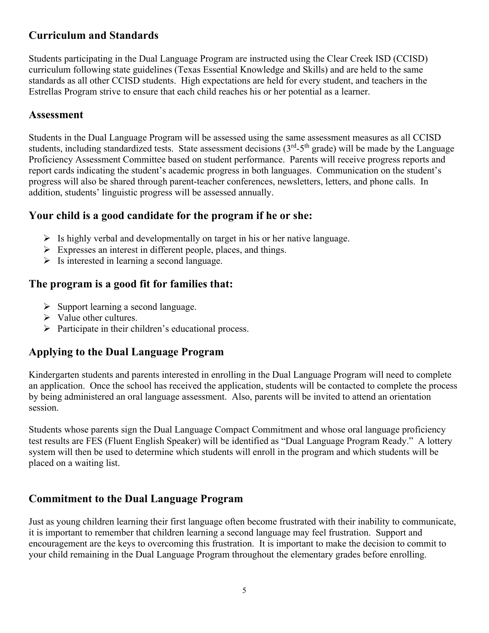## **Curriculum and Standards**

Students participating in the Dual Language Program are instructed using the Clear Creek ISD (CCISD) curriculum following state guidelines (Texas Essential Knowledge and Skills) and are held to the same standards as all other CCISD students. High expectations are held for every student, and teachers in the Estrellas Program strive to ensure that each child reaches his or her potential as a learner.

### **Assessment**

Students in the Dual Language Program will be assessed using the same assessment measures as all CCISD students, including standardized tests. State assessment decisions  $(3<sup>rd</sup>-5<sup>th</sup>$  grade) will be made by the Language Proficiency Assessment Committee based on student performance. Parents will receive progress reports and report cards indicating the student's academic progress in both languages. Communication on the student's progress will also be shared through parent-teacher conferences, newsletters, letters, and phone calls. In addition, students' linguistic progress will be assessed annually.

## **Your child is a good candidate for the program if he or she:**

- $\triangleright$  Is highly verbal and developmentally on target in his or her native language.
- $\triangleright$  Expresses an interest in different people, places, and things.
- $\triangleright$  Is interested in learning a second language.

## **The program is a good fit for families that:**

- $\triangleright$  Support learning a second language.
- $\triangleright$  Value other cultures.
- $\triangleright$  Participate in their children's educational process.

## **Applying to the Dual Language Program**

Kindergarten students and parents interested in enrolling in the Dual Language Program will need to complete an application. Once the school has received the application, students will be contacted to complete the process by being administered an oral language assessment. Also, parents will be invited to attend an orientation session.

Students whose parents sign the Dual Language Compact Commitment and whose oral language proficiency test results are FES (Fluent English Speaker) will be identified as "Dual Language Program Ready." A lottery system will then be used to determine which students will enroll in the program and which students will be placed on a waiting list.

## **Commitment to the Dual Language Program**

Just as young children learning their first language often become frustrated with their inability to communicate, it is important to remember that children learning a second language may feel frustration. Support and encouragement are the keys to overcoming this frustration. It is important to make the decision to commit to your child remaining in the Dual Language Program throughout the elementary grades before enrolling.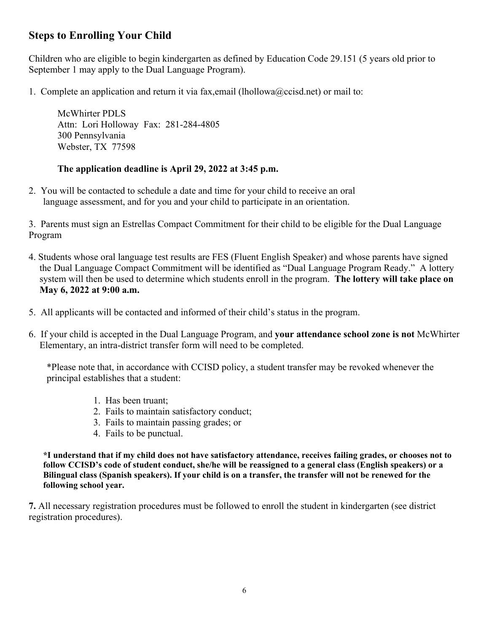## **Steps to Enrolling Your Child**

Children who are eligible to begin kindergarten as defined by Education Code 29.151 (5 years old prior to September 1 may apply to the Dual Language Program).

1. Complete an application and return it via fax, email (lhollowa@ccisd.net) or mail to:

McWhirter PDLS Attn: Lori Holloway Fax: 281-284-4805 300 Pennsylvania Webster, TX 77598

### **The application deadline is April 29, 2022 at 3:45 p.m.**

2. You will be contacted to schedule a date and time for your child to receive an oral language assessment, and for you and your child to participate in an orientation.

3. Parents must sign an Estrellas Compact Commitment for their child to be eligible for the Dual Language Program

- 4. Students whose oral language test results are FES (Fluent English Speaker) and whose parents have signed the Dual Language Compact Commitment will be identified as "Dual Language Program Ready." A lottery system will then be used to determine which students enroll in the program. **The lottery will take place on May 6, 2022 at 9:00 a.m.**
- 5. All applicants will be contacted and informed of their child's status in the program.
- 6. If your child is accepted in the Dual Language Program, and **your attendance school zone is not** McWhirter Elementary, an intra-district transfer form will need to be completed.

\*Please note that, in accordance with CCISD policy, a student transfer may be revoked whenever the principal establishes that a student:

- 1. Has been truant;
- 2. Fails to maintain satisfactory conduct;
- 3. Fails to maintain passing grades; or
- 4. Fails to be punctual.

**\*I understand that if my child does not have satisfactory attendance, receives failing grades, or chooses not to follow CCISD's code of student conduct, she/he will be reassigned to a general class (English speakers) or a Bilingual class (Spanish speakers). If your child is on a transfer, the transfer will not be renewed for the following school year.**

**7.** All necessary registration procedures must be followed to enroll the student in kindergarten (see district registration procedures).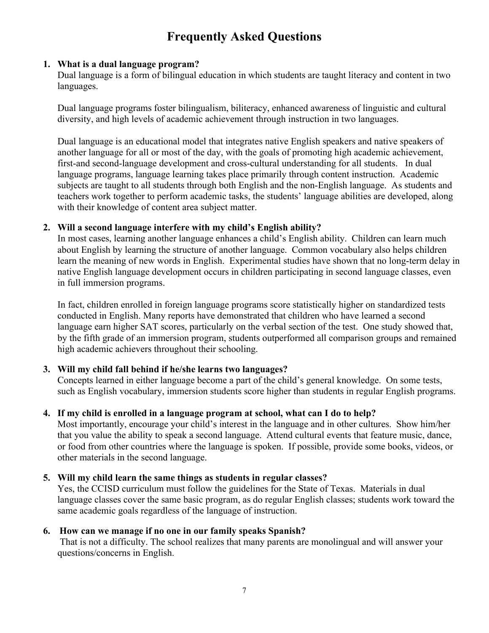## **Frequently Asked Questions**

#### **1. What is a dual language program?**

Dual language is a form of bilingual education in which students are taught literacy and content in two languages.

Dual language programs foster bilingualism, biliteracy, enhanced awareness of linguistic and cultural diversity, and high levels of academic achievement through instruction in two languages.

Dual language is an educational model that integrates native English speakers and native speakers of another language for all or most of the day, with the goals of promoting high academic achievement, first-and second-language development and cross-cultural understanding for all students. In dual language programs, language learning takes place primarily through content instruction. Academic subjects are taught to all students through both English and the non-English language. As students and teachers work together to perform academic tasks, the students' language abilities are developed, along with their knowledge of content area subject matter.

#### **2. Will a second language interfere with my child's English ability?**

In most cases, learning another language enhances a child's English ability. Children can learn much about English by learning the structure of another language. Common vocabulary also helps children learn the meaning of new words in English. Experimental studies have shown that no long-term delay in native English language development occurs in children participating in second language classes, even in full immersion programs.

In fact, children enrolled in foreign language programs score statistically higher on standardized tests conducted in English. Many reports have demonstrated that children who have learned a second language earn higher SAT scores, particularly on the verbal section of the test. One study showed that, by the fifth grade of an immersion program, students outperformed all comparison groups and remained high academic achievers throughout their schooling.

#### **3. Will my child fall behind if he/she learns two languages?**

Concepts learned in either language become a part of the child's general knowledge. On some tests, such as English vocabulary, immersion students score higher than students in regular English programs.

#### **4. If my child is enrolled in a language program at school, what can I do to help?**

Most importantly, encourage your child's interest in the language and in other cultures. Show him/her that you value the ability to speak a second language. Attend cultural events that feature music, dance, or food from other countries where the language is spoken. If possible, provide some books, videos, or other materials in the second language.

#### **5. Will my child learn the same things as students in regular classes?**

Yes, the CCISD curriculum must follow the guidelines for the State of Texas. Materials in dual language classes cover the same basic program, as do regular English classes; students work toward the same academic goals regardless of the language of instruction.

#### **6. How can we manage if no one in our family speaks Spanish?**

That is not a difficulty. The school realizes that many parents are monolingual and will answer your questions/concerns in English.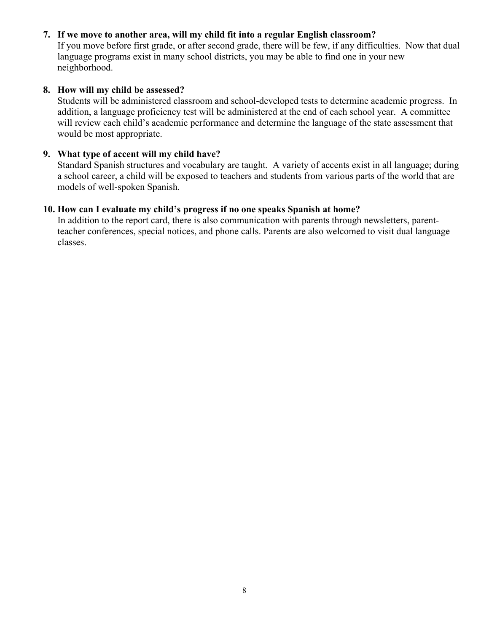#### **7. If we move to another area, will my child fit into a regular English classroom?**

If you move before first grade, or after second grade, there will be few, if any difficulties. Now that dual language programs exist in many school districts, you may be able to find one in your new neighborhood.

#### **8. How will my child be assessed?**

Students will be administered classroom and school-developed tests to determine academic progress. In addition, a language proficiency test will be administered at the end of each school year. A committee will review each child's academic performance and determine the language of the state assessment that would be most appropriate.

#### **9. What type of accent will my child have?**

Standard Spanish structures and vocabulary are taught. A variety of accents exist in all language; during a school career, a child will be exposed to teachers and students from various parts of the world that are models of well-spoken Spanish.

#### **10. How can I evaluate my child's progress if no one speaks Spanish at home?**

In addition to the report card, there is also communication with parents through newsletters, parentteacher conferences, special notices, and phone calls. Parents are also welcomed to visit dual language classes.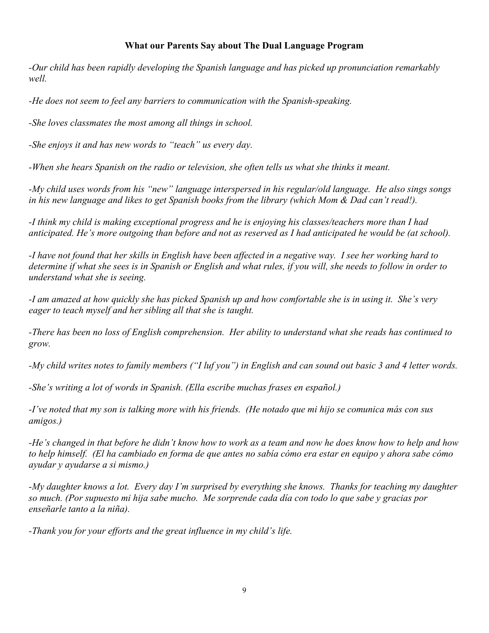#### **What our Parents Say about The Dual Language Program**

*-Our child has been rapidly developing the Spanish language and has picked up pronunciation remarkably well.*

*-He does not seem to feel any barriers to communication with the Spanish-speaking.*

*-She loves classmates the most among all things in school.*

*-She enjoys it and has new words to "teach" us every day.*

*-When she hears Spanish on the radio or television, she often tells us what she thinks it meant.*

*-My child uses words from his "new" language interspersed in his regular/old language. He also sings songs in his new language and likes to get Spanish books from the library (which Mom & Dad can't read!).*

*-I think my child is making exceptional progress and he is enjoying his classes/teachers more than I had anticipated. He's more outgoing than before and not as reserved as I had anticipated he would be (at school).*

*-I have not found that her skills in English have been affected in a negative way. I see her working hard to determine if what she sees is in Spanish or English and what rules, if you will, she needs to follow in order to understand what she is seeing.*

*-I am amazed at how quickly she has picked Spanish up and how comfortable she is in using it. She's very eager to teach myself and her sibling all that she is taught.*

*-There has been no loss of English comprehension. Her ability to understand what she reads has continued to grow.*

*-My child writes notes to family members ("I luf you") in English and can sound out basic 3 and 4 letter words.*

*-She's writing a lot of words in Spanish. (Ella escribe muchas frases en español.)*

*-I've noted that my son is talking more with his friends. (He notado que mi hijo se comunica más con sus amigos.)*

*-He's changed in that before he didn't know how to work as a team and now he does know how to help and how to help himself. (El ha cambiado en forma de que antes no sabía cómo era estar en equipo y ahora sabe cómo ayudar y ayudarse a si mismo.)*

*-My daughter knows a lot. Every day I'm surprised by everything she knows. Thanks for teaching my daughter so much. (Por supuesto mi hija sabe mucho. Me sorprende cada día con todo lo que sabe y gracias por enseñarle tanto a la niña).*

*-Thank you for your efforts and the great influence in my child's life.*